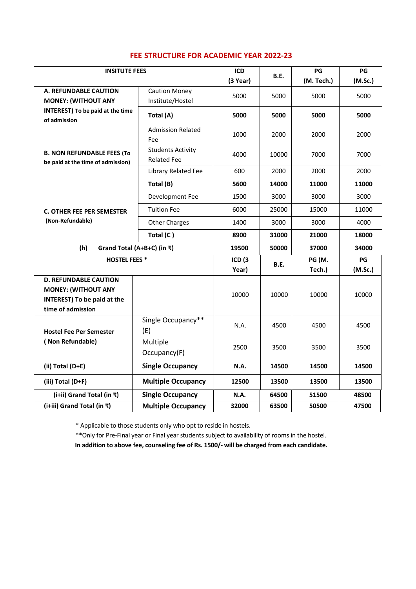| <b>INSITUTE FEES</b>                                                                                                  |                                                | ICD<br>$(3$ Year) | <b>B.E.</b> | PG<br>(M. Tech.) | PG<br>(M.Sc.) |
|-----------------------------------------------------------------------------------------------------------------------|------------------------------------------------|-------------------|-------------|------------------|---------------|
| A. REFUNDABLE CAUTION<br><b>MONEY: (WITHOUT ANY</b>                                                                   | <b>Caution Money</b><br>Institute/Hostel       | 5000              | 5000        | 5000             | 5000          |
| <b>INTEREST)</b> To be paid at the time<br>of admission                                                               | Total (A)                                      | 5000              | 5000        | 5000             | 5000          |
| <b>B. NON REFUNDABLE FEES (To</b><br>be paid at the time of admission)                                                | <b>Admission Related</b><br>Fee                | 1000              | 2000        | 2000             | 2000          |
|                                                                                                                       | <b>Students Activity</b><br><b>Related Fee</b> | 4000              | 10000       | 7000             | 7000          |
|                                                                                                                       | Library Related Fee                            | 600               | 2000        | 2000             | 2000          |
|                                                                                                                       | Total (B)                                      | 5600              | 14000       | 11000            | 11000         |
| <b>C. OTHER FEE PER SEMESTER</b><br>(Non-Refundable)                                                                  | Development Fee                                | 1500              | 3000        | 3000             | 3000          |
|                                                                                                                       | <b>Tuition Fee</b>                             | 6000              | 25000       | 15000            | 11000         |
|                                                                                                                       | <b>Other Charges</b>                           | 1400              | 3000        | 3000             | 4000          |
|                                                                                                                       | Total (C)                                      | 8900              | 31000       | 21000            | 18000         |
| (h)                                                                                                                   | Grand Total (A+B+C) (in ₹)                     |                   | 50000       | 37000            | 34000         |
| <b>HOSTEL FEES*</b>                                                                                                   |                                                | ICD(3)<br>Year)   | <b>B.E.</b> | PG (M.<br>Tech.) | PG<br>(M.Sc.) |
| <b>D. REFUNDABLE CAUTION</b><br><b>MONEY: (WITHOUT ANY</b><br><b>INTEREST)</b> To be paid at the<br>time of admission |                                                | 10000             | 10000       | 10000            | 10000         |
| <b>Hostel Fee Per Semester</b><br>(Non Refundable)                                                                    | Single Occupancy**<br>(E)                      | N.A.              | 4500        | 4500             | 4500          |
|                                                                                                                       | Multiple<br>Occupancy(F)                       | 2500              | 3500        | 3500             | 3500          |
| (ii) Total (D+E)                                                                                                      | <b>Single Occupancy</b>                        | N.A.              | 14500       | 14500            | 14500         |
| (iii) Total (D+F)                                                                                                     | <b>Multiple Occupancy</b>                      | 12500             | 13500       | 13500            | 13500         |
| (i+ii) Grand Total (in ₹)                                                                                             | <b>Single Occupancy</b>                        | <b>N.A.</b>       | 64500       | 51500            | 48500         |
| (i+iii) Grand Total (in ₹)                                                                                            | <b>Multiple Occupancy</b>                      | 32000             | 63500       | 50500            | 47500         |

## **FEE STRUCTURE FOR ACADEMIC YEAR 2022-23**

\* Applicable to those students only who opt to reside in hostels.

\*\*Only for Pre-Final year or Final year students subject to availability of rooms in the hostel.

**In addition to above fee, counseling fee of Rs. 1500/- will be charged from each candidate.**